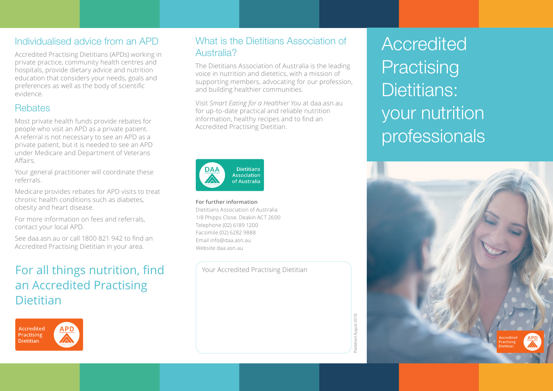Accredited Practising Dietitians (APDs) working in **Australia?** private practice, community health centres and hospitals, provide dietary advice and nutrition education that considers your needs, goals and preferences as well as the body of scientific evidence.

#### **Rebates**

Most private health funds provide rebates for people who visit an APD as a private patient. A referral is not necessary to see an APD as a private patient, but it is needed to see an APD under Medicare and Department of Veterans Affairs.

Your general practitioner will coordinate these referrals.

Medicare provides rebates for APD visits to treat chronic health conditions such as diabetes, obesity and heart disease.

For more information on fees and referrals, contact your local APD.

See daa.asn.au or call 1800 821 942 to find an Accredited Practising Dietitian in your area.

## For all things nutrition, find an Accredited Practising **Dietitian**



# Individualised advice from an APD What is the Dietitians Association of

The Dietitians Association of Australia is the leading voice in nutrition and dietetics, with a mission of supporting members, advocating for our profession, and building healthier communities.

Visit *Smart Eating for a Healthier You* at daa.asn.au for up-to-date practical and reliable nutrition information, healthy recipes and to find an Accredited Practising Dietitian.



**For further information** Dietitians Association of Australia 1/8 Phipps Close, Deakin ACT 2600 Telephone (02) 6189 1200 Facsimile (02) 6282 9888 Email info@daa.asn.au Website daa.asn.au

Your Accredited Practising Dietitian

**Accredited Practising** Dietitians: your nutrition professionals